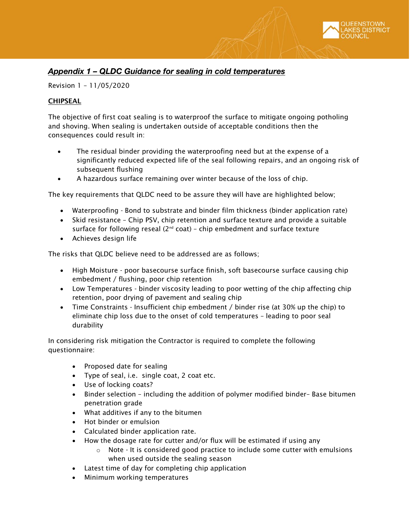

# *Appendix 1 – QLDC Guidance for sealing in cold temperatures*

Revision 1 – 11/05/2020

# CHIPSEAL

The objective of first coat sealing is to waterproof the surface to mitigate ongoing potholing and shoving. When sealing is undertaken outside of acceptable conditions then the consequences could result in:

- The residual binder providing the waterproofing need but at the expense of a significantly reduced expected life of the seal following repairs, and an ongoing risk of subsequent flushing
- A hazardous surface remaining over winter because of the loss of chip.

The key requirements that QLDC need to be assure they will have are highlighted below;

- Waterproofing Bond to substrate and binder film thickness (binder application rate)
- Skid resistance Chip PSV, chip retention and surface texture and provide a suitable surface for following reseal ( $2^{nd}$  coat) - chip embedment and surface texture
- Achieves design life

The risks that QLDC believe need to be addressed are as follows;

- High Moisture poor basecourse surface finish, soft basecourse surface causing chip embedment / flushing, poor chip retention
- Low Temperatures binder viscosity leading to poor wetting of the chip affecting chip retention, poor drying of pavement and sealing chip
- Time Constraints Insufficient chip embedment / binder rise (at 30% up the chip) to eliminate chip loss due to the onset of cold temperatures – leading to poor seal durability

In considering risk mitigation the Contractor is required to complete the following questionnaire:

- Proposed date for sealing
- Type of seal, i.e. single coat, 2 coat etc.
- Use of locking coats?
- Binder selection including the addition of polymer modified binder– Base bitumen penetration grade
- What additives if any to the bitumen
- Hot binder or emulsion
- Calculated binder application rate.
- How the dosage rate for cutter and/or flux will be estimated if using any
	- o Note It is considered good practice to include some cutter with emulsions when used outside the sealing season
- Latest time of day for completing chip application
- Minimum working temperatures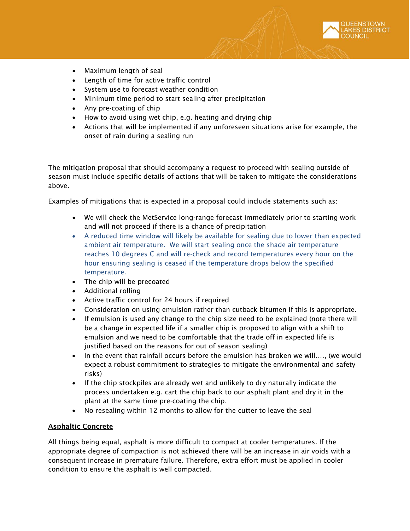- Maximum length of seal
- Length of time for active traffic control
- System use to forecast weather condition
- Minimum time period to start sealing after precipitation
- Any pre-coating of chip
- How to avoid using wet chip, e.g. heating and drying chip
- Actions that will be implemented if any unforeseen situations arise for example, the onset of rain during a sealing run

The mitigation proposal that should accompany a request to proceed with sealing outside of season must include specific details of actions that will be taken to mitigate the considerations above.

Examples of mitigations that is expected in a proposal could include statements such as:

- We will check the MetService long-range forecast immediately prior to starting work and will not proceed if there is a chance of precipitation
- A reduced time window will likely be available for sealing due to lower than expected ambient air temperature. We will start sealing once the shade air temperature reaches 10 degrees C and will re-check and record temperatures every hour on the hour ensuring sealing is ceased if the temperature drops below the specified temperature.
- The chip will be precoated
- Additional rolling
- Active traffic control for 24 hours if required
- Consideration on using emulsion rather than cutback bitumen if this is appropriate.
- If emulsion is used any change to the chip size need to be explained (note there will be a change in expected life if a smaller chip is proposed to align with a shift to emulsion and we need to be comfortable that the trade off in expected life is justified based on the reasons for out of season sealing)
- In the event that rainfall occurs before the emulsion has broken we will…., (we would expect a robust commitment to strategies to mitigate the environmental and safety risks)
- If the chip stockpiles are already wet and unlikely to dry naturally indicate the process undertaken e.g. cart the chip back to our asphalt plant and dry it in the plant at the same time pre-coating the chip.
- No resealing within 12 months to allow for the cutter to leave the seal

# Asphaltic Concrete

All things being equal, asphalt is more difficult to compact at cooler temperatures. If the appropriate degree of compaction is not achieved there will be an increase in air voids with a consequent increase in premature failure. Therefore, extra effort must be applied in cooler condition to ensure the asphalt is well compacted.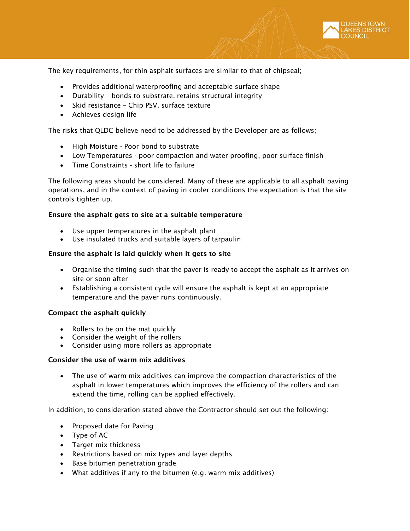

The key requirements, for thin asphalt surfaces are similar to that of chipseal;

- Provides additional waterproofing and acceptable surface shape
- Durability bonds to substrate, retains structural integrity
- Skid resistance Chip PSV, surface texture
- Achieves design life

The risks that QLDC believe need to be addressed by the Developer are as follows;

- High Moisture Poor bond to substrate
- Low Temperatures poor compaction and water proofing, poor surface finish
- Time Constraints short life to failure

The following areas should be considered. Many of these are applicable to all asphalt paving operations, and in the context of paving in cooler conditions the expectation is that the site controls tighten up.

## Ensure the asphalt gets to site at a suitable temperature

- Use upper temperatures in the asphalt plant
- Use insulated trucks and suitable layers of tarpaulin

### Ensure the asphalt is laid quickly when it gets to site

- Organise the timing such that the paver is ready to accept the asphalt as it arrives on site or soon after
- Establishing a consistent cycle will ensure the asphalt is kept at an appropriate temperature and the paver runs continuously.

### Compact the asphalt quickly

- Rollers to be on the mat quickly
- Consider the weight of the rollers
- Consider using more rollers as appropriate

### Consider the use of warm mix additives

• The use of warm mix additives can improve the compaction characteristics of the asphalt in lower temperatures which improves the efficiency of the rollers and can extend the time, rolling can be applied effectively.

In addition, to consideration stated above the Contractor should set out the following:

- Proposed date for Paving
- Type of AC
- Target mix thickness
- Restrictions based on mix types and layer depths
- Base bitumen penetration grade
- What additives if any to the bitumen (e.g. warm mix additives)